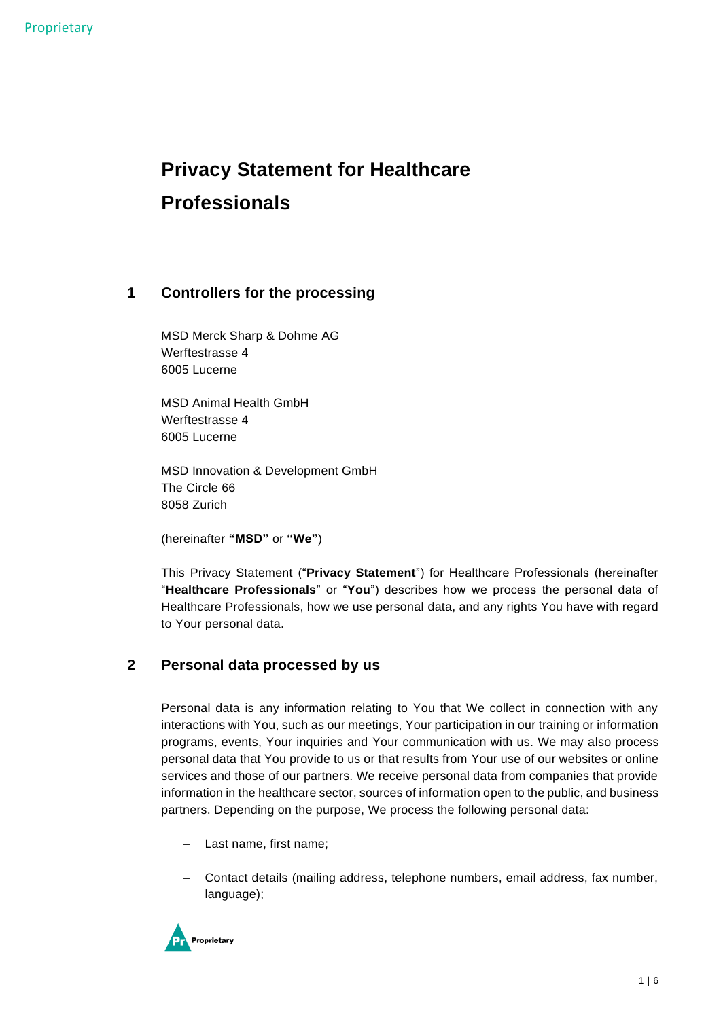# **Privacy Statement for Healthcare Professionals**

## **1 Controllers for the processing**

MSD Merck Sharp & Dohme AG Werftestrasse 4 6005 Lucerne

MSD Animal Health GmbH Werftestrasse 4 6005 Lucerne

MSD Innovation & Development GmbH The Circle 66 8058 Zurich

(hereinafter **"MSD"** or **"We"**)

This Privacy Statement ("**Privacy Statement**") for Healthcare Professionals (hereinafter "**Healthcare Professionals**" or "**You**") describes how we process the personal data of Healthcare Professionals, how we use personal data, and any rights You have with regard to Your personal data.

## **2 Personal data processed by us**

Personal data is any information relating to You that We collect in connection with any interactions with You, such as our meetings, Your participation in our training or information programs, events, Your inquiries and Your communication with us. We may also process personal data that You provide to us or that results from Your use of our websites or online services and those of our partners. We receive personal data from companies that provide information in the healthcare sector, sources of information open to the public, and business partners. Depending on the purpose, We process the following personal data:

- − Last name, first name;
- − Contact details (mailing address, telephone numbers, email address, fax number, language);

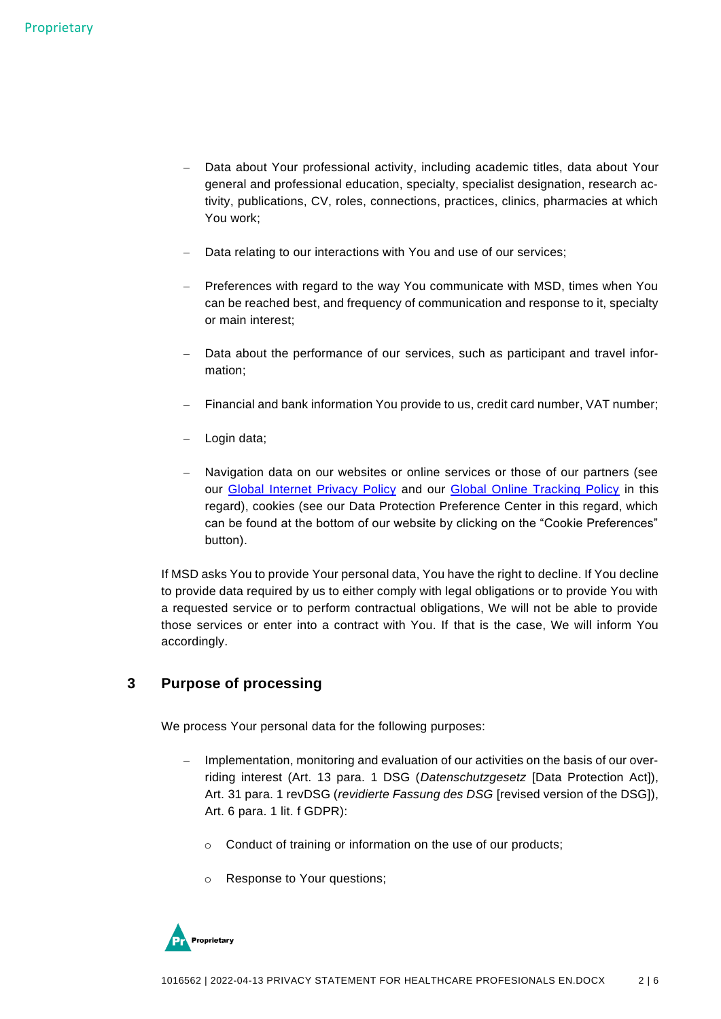- − Data about Your professional activity, including academic titles, data about Your general and professional education, specialty, specialist designation, research activity, publications, CV, roles, connections, practices, clinics, pharmacies at which You work;
- Data relating to our interactions with You and use of our services;
- − Preferences with regard to the way You communicate with MSD, times when You can be reached best, and frequency of communication and response to it, specialty or main interest;
- Data about the performance of our services, such as participant and travel information;
- Financial and bank information You provide to us, credit card number, VAT number;
- − Login data;
- Navigation data on our websites or online services or those of our partners (see our Global [Internet Privacy Policy](https://www.msdprivacy.com/sw/de/internet-privacy-policy/) and our [Global Online Tracking Policy](https://www.msdprivacy.com/sw/de/online-tracking-privacy-policy/) in this regard), cookies (see our Data Protection Preference Center in this regard, which can be found at the bottom of our website by clicking on the "Cookie Preferences" button).

If MSD asks You to provide Your personal data, You have the right to decline. If You decline to provide data required by us to either comply with legal obligations or to provide You with a requested service or to perform contractual obligations, We will not be able to provide those services or enter into a contract with You. If that is the case, We will inform You accordingly.

#### **3 Purpose of processing**

We process Your personal data for the following purposes:

- − Implementation, monitoring and evaluation of our activities on the basis of our overriding interest (Art. 13 para. 1 DSG (*Datenschutzgesetz* [Data Protection Act]), Art. 31 para. 1 revDSG (*revidierte Fassung des DSG* [revised version of the DSG]), Art. 6 para. 1 lit. f GDPR):
	- o Conduct of training or information on the use of our products;
	- o Response to Your questions;

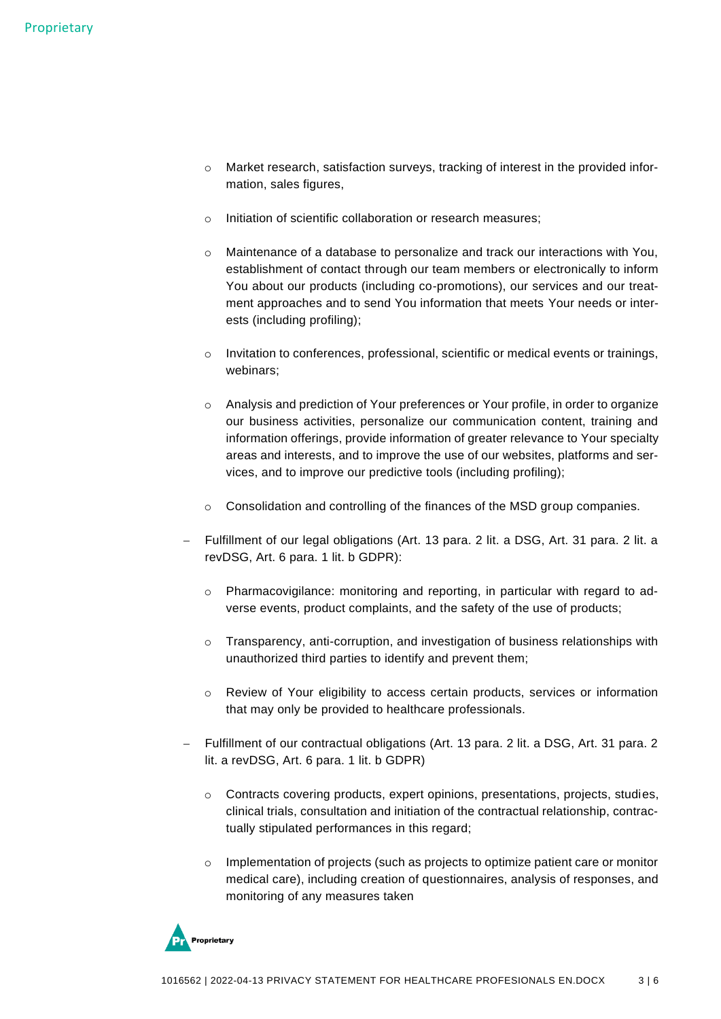- $\circ$  Market research, satisfaction surveys, tracking of interest in the provided information, sales figures,
- o Initiation of scientific collaboration or research measures;
- o Maintenance of a database to personalize and track our interactions with You, establishment of contact through our team members or electronically to inform You about our products (including co-promotions), our services and our treatment approaches and to send You information that meets Your needs or interests (including profiling);
- $\circ$  Invitation to conferences, professional, scientific or medical events or trainings, webinars;
- $\circ$  Analysis and prediction of Your preferences or Your profile, in order to organize our business activities, personalize our communication content, training and information offerings, provide information of greater relevance to Your specialty areas and interests, and to improve the use of our websites, platforms and services, and to improve our predictive tools (including profiling);
- $\circ$  Consolidation and controlling of the finances of the MSD group companies.
- − Fulfillment of our legal obligations (Art. 13 para. 2 lit. a DSG, Art. 31 para. 2 lit. a revDSG, Art. 6 para. 1 lit. b GDPR):
	- o Pharmacovigilance: monitoring and reporting, in particular with regard to adverse events, product complaints, and the safety of the use of products;
	- o Transparency, anti-corruption, and investigation of business relationships with unauthorized third parties to identify and prevent them;
	- o Review of Your eligibility to access certain products, services or information that may only be provided to healthcare professionals.
- − Fulfillment of our contractual obligations (Art. 13 para. 2 lit. a DSG, Art. 31 para. 2 lit. a revDSG, Art. 6 para. 1 lit. b GDPR)
	- o Contracts covering products, expert opinions, presentations, projects, studies, clinical trials, consultation and initiation of the contractual relationship, contractually stipulated performances in this regard;
	- $\circ$  Implementation of projects (such as projects to optimize patient care or monitor medical care), including creation of questionnaires, analysis of responses, and monitoring of any measures taken

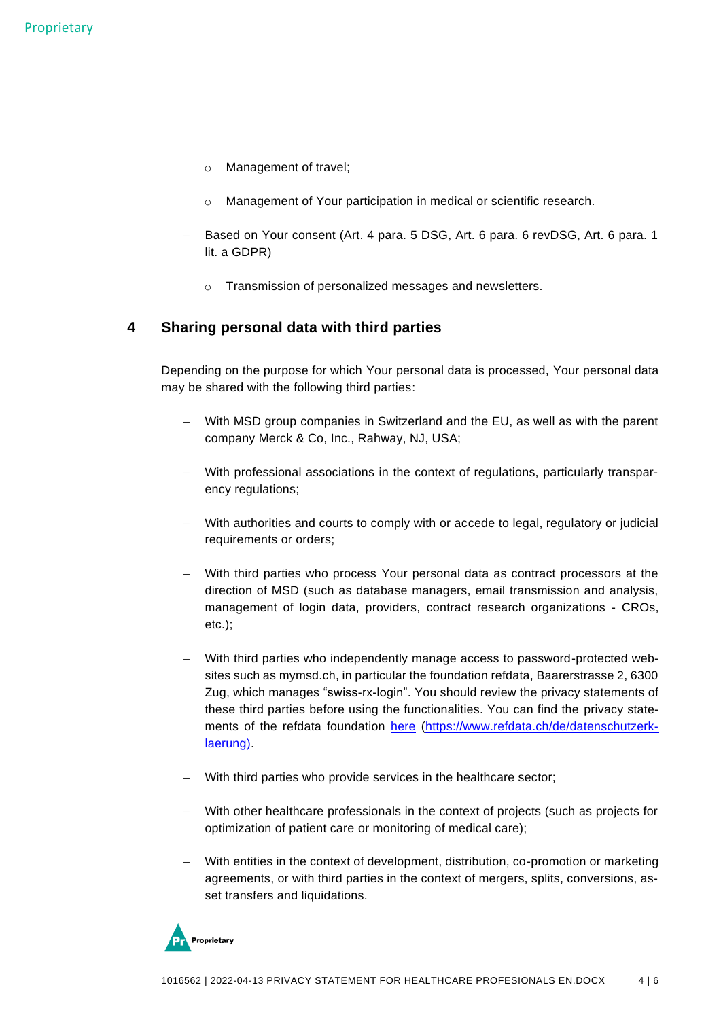- o Management of travel;
- o Management of Your participation in medical or scientific research.
- − Based on Your consent (Art. 4 para. 5 DSG, Art. 6 para. 6 revDSG, Art. 6 para. 1 lit. a GDPR)
	- o Transmission of personalized messages and newsletters.

#### **4 Sharing personal data with third parties**

Depending on the purpose for which Your personal data is processed, Your personal data may be shared with the following third parties:

- With MSD group companies in Switzerland and the EU, as well as with the parent company Merck & Co, Inc., Rahway, NJ, USA;
- − With professional associations in the context of regulations, particularly transparency regulations;
- − With authorities and courts to comply with or accede to legal, regulatory or judicial requirements or orders;
- − With third parties who process Your personal data as contract processors at the direction of MSD (such as database managers, email transmission and analysis, management of login data, providers, contract research organizations - CROs, etc.);
- − With third parties who independently manage access to password-protected websites such as mymsd.ch, in particular the foundation refdata, Baarerstrasse 2, 6300 Zug, which manages "swiss-rx-login". You should review the privacy statements of these third parties before using the functionalities. You can find the privacy statements of the refdata foundation [here](https://www.refdata.ch/de/datenschutzerklaerung) [\(https://www.refdata.ch/de/datenschutzerk](https://www.refdata.ch/de/datenschutzerklaerung)[laerung\)](https://www.refdata.ch/de/datenschutzerklaerung).
- − With third parties who provide services in the healthcare sector;
- − With other healthcare professionals in the context of projects (such as projects for optimization of patient care or monitoring of medical care);
- With entities in the context of development, distribution, co-promotion or marketing agreements, or with third parties in the context of mergers, splits, conversions, asset transfers and liquidations.

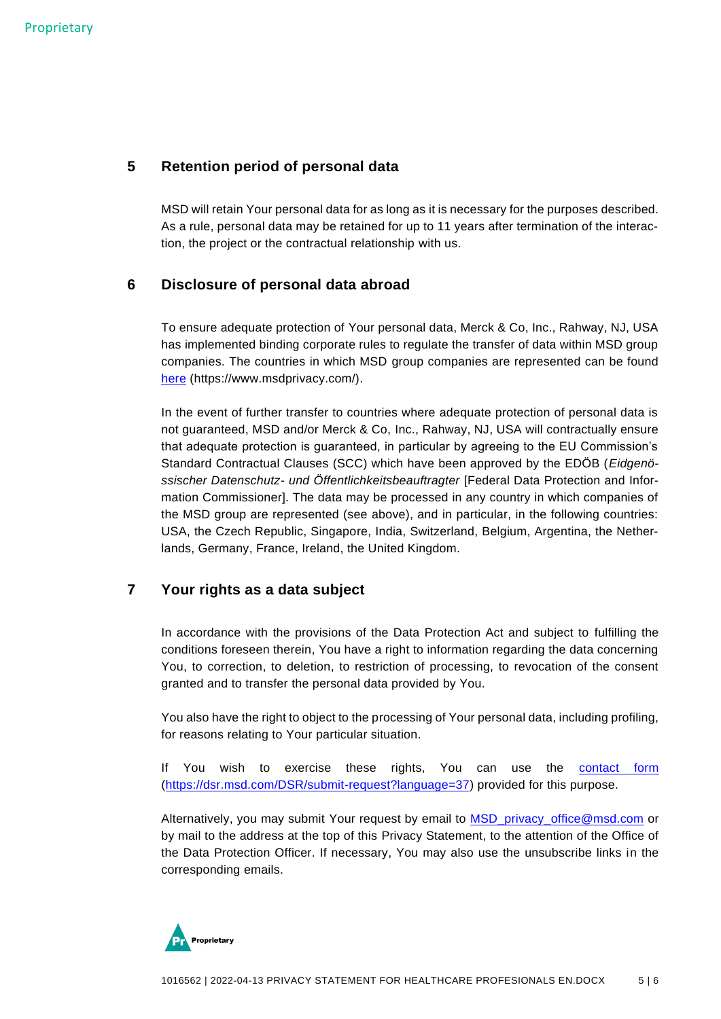## **5 Retention period of personal data**

MSD will retain Your personal data for as long as it is necessary for the purposes described. As a rule, personal data may be retained for up to 11 years after termination of the interaction, the project or the contractual relationship with us.

### **6 Disclosure of personal data abroad**

To ensure adequate protection of Your personal data, Merck & Co, Inc., Rahway, NJ, USA has implemented binding corporate rules to regulate the transfer of data within MSD group companies. The countries in which MSD group companies are represented can be found [here](https://www.msdprivacy.com/) (https://www.msdprivacy.com/).

In the event of further transfer to countries where adequate protection of personal data is not guaranteed, MSD and/or Merck & Co, Inc., Rahway, NJ, USA will contractually ensure that adequate protection is guaranteed, in particular by agreeing to the EU Commission's Standard Contractual Clauses (SCC) which have been approved by the EDÖB (*Eidgenössischer Datenschutz- und Öffentlichkeitsbeauftragter* [Federal Data Protection and Information Commissioner]. The data may be processed in any country in which companies of the MSD group are represented (see above), and in particular, in the following countries: USA, the Czech Republic, Singapore, India, Switzerland, Belgium, Argentina, the Netherlands, Germany, France, Ireland, the United Kingdom.

## **7 Your rights as a data subject**

In accordance with the provisions of the Data Protection Act and subject to fulfilling the conditions foreseen therein, You have a right to information regarding the data concerning You, to correction, to deletion, to restriction of processing, to revocation of the consent granted and to transfer the personal data provided by You.

You also have the right to object to the processing of Your personal data, including profiling, for reasons relating to Your particular situation.

If You wish to exercise these rights, You can use the [contact form](https://dsr.msd.com/DSR/submit-request?language=37) [\(https://dsr.msd.com/DSR/submit-request?language=37\)](https://dsr.msd.com/DSR/submit-request?language=37) provided for this purpose.

Alternatively, you may submit Your request by email to [MSD\\_privacy\\_office@msd.com](mailto:MSD_privacy_office@msd.com) or by mail to the address at the top of this Privacy Statement, to the attention of the Office of the Data Protection Officer. If necessary, You may also use the unsubscribe links in the corresponding emails.